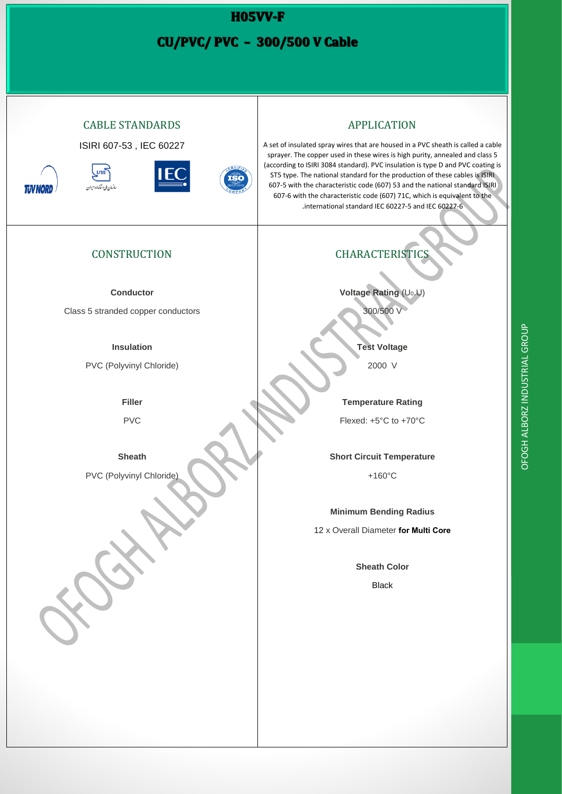#### **CU/PVC/ PVC - 300/500 V Cable**

#### CABLE STANDARDS

ISIRI 607-53 , IEC 60227

























**Voltage Rating** (U0.U)

300/500 V

APPLICATION

A set of insulated spray wires that are housed in a PVC sheath is called a cable sprayer. The copper used in these wires is high purity, annealed and class 5 (according to ISIRI 3084 standard). PVC insulation is type D and PVC coating is ST5 type. The national standard for the production of these cables is ISIRI 607-5 with the characteristic code (607) 53 and the national standard ISIRI 607-6 with the characteristic code (607) 71C, which is equivalent to the

**Test Voltage**

2000 V

**Temperature Rating**

Flexed: +5°C to +70°C

#### **Short Circuit Temperature**

+160°C

#### **Minimum Bending Radius**

12 x Overall Diameter **for Multi Core**

**Sheath Color**

Black

**CONSTRUCTION** 

#### **Conductor**

Class 5 stranded copper conductors

#### **Insulation**

PVC (Polyvinyl Chloride)

**Filler**

PVC

**Sheath**

PVC (Polyvinyl Chloride)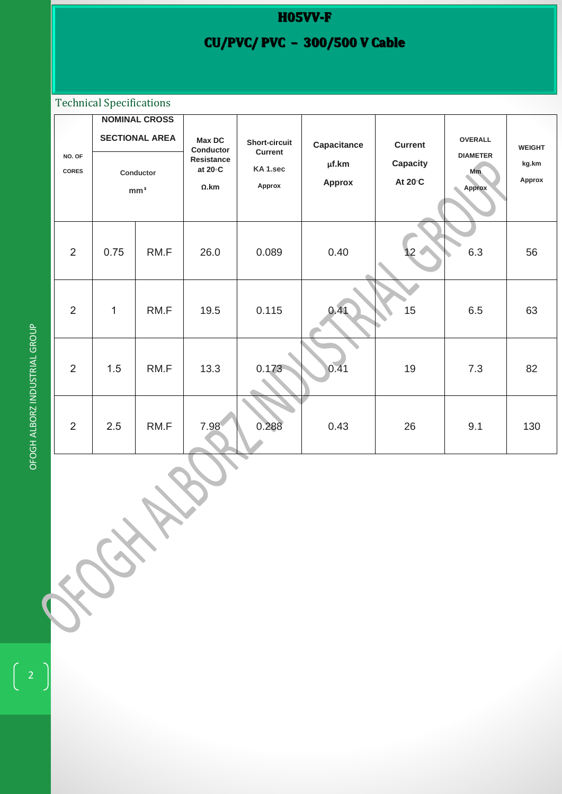## **H05VV-F**

# **CU/PVC/ PVC - 300/500 V Cable**

## Technical Specifications

|                        |                                    | <b>NOMINAL CROSS</b> |                                                      |                                        |                        |                             |                                        |                 |
|------------------------|------------------------------------|----------------------|------------------------------------------------------|----------------------------------------|------------------------|-----------------------------|----------------------------------------|-----------------|
|                        | <b>SECTIONAL AREA</b><br>Conductor |                      | <b>Max DC</b><br>Conductor                           | <b>Short-circuit</b><br><b>Current</b> | Capacitance            | <b>Current</b>              | <b>OVERALL</b>                         | <b>WEIGHT</b>   |
| NO. OF<br><b>CORES</b> |                                    |                      | <b>Resistance</b><br>at 20 $\circ$ C<br>$\Omega$ .km | KA <sub>1.sec</sub><br>Approx          | µf.km<br><b>Approx</b> | <b>Capacity</b><br>At 20 °C | <b>DIAMETER</b><br><b>Mm</b><br>Approx | kg.km<br>Approx |
|                        |                                    | mm <sup>2</sup>      |                                                      |                                        |                        |                             |                                        |                 |
| $\overline{2}$         | 0.75                               | RM.F                 | 26.0                                                 | 0.089                                  | 0.40                   |                             | 6.3                                    | 56              |
| 2                      | 1                                  | RM.F                 | 19.5                                                 | 0.115                                  | 0.41                   | 15                          | 6.5                                    | 63              |
| $\overline{2}$         | 1.5                                | RM.F                 | 13.3                                                 | 0.173                                  | 0.41                   | 19                          | 7.3                                    | 82              |
| $\overline{2}$         | 2.5                                | RM.F                 | 7.98                                                 | 0.288                                  | 0.43                   | 26                          | 9.1                                    | 130             |

OFOGH ALBORZ INDUSTRIAL GROUP OFOGH ALBORZ INDUSTRIAL GROUP

 $\begin{pmatrix} 2 \end{pmatrix}$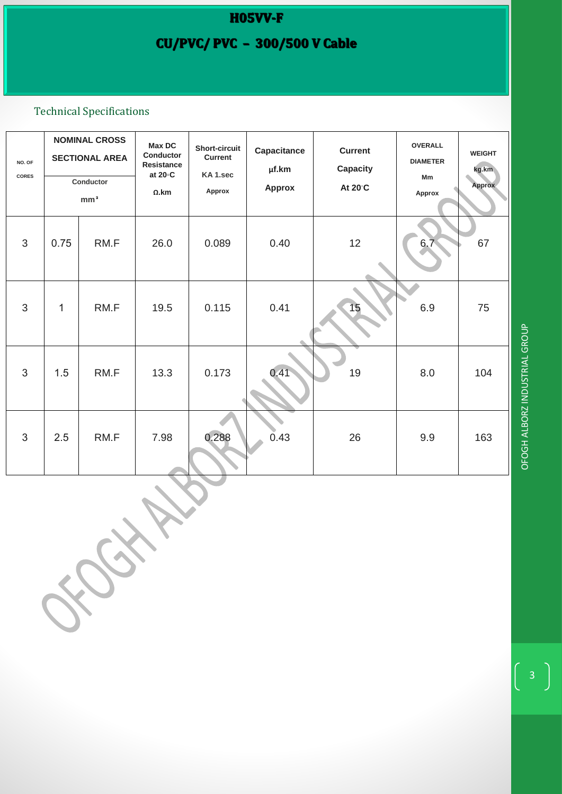# **CU/PVC/ PVC - 300/500 V Cable**

## Technical Specifications

| NO. OF<br>CORES |              | <b>NOMINAL CROSS</b><br><b>SECTIONAL AREA</b><br>Conductor<br>mm <sup>2</sup> | <b>Max DC</b><br>Conductor<br><b>Resistance</b><br>at $20 \textdegree C$<br>$\Omega$ .km | Short-circuit<br><b>Current</b><br>KA 1.sec<br>Approx | Capacitance<br>μf.km<br><b>Approx</b> | <b>Current</b><br><b>Capacity</b><br>At 20 $\mathrm{C}$ | <b>OVERALL</b><br><b>DIAMETER</b><br>Mm<br>Approx | <b>WEIGHT</b><br>kg.km<br>Approx |
|-----------------|--------------|-------------------------------------------------------------------------------|------------------------------------------------------------------------------------------|-------------------------------------------------------|---------------------------------------|---------------------------------------------------------|---------------------------------------------------|----------------------------------|
| $\mathfrak{B}$  | 0.75         | RM.F                                                                          | 26.0                                                                                     | 0.089                                                 | 0.40                                  | 12                                                      | 6.7                                               | 67                               |
| 3               | $\mathbf{1}$ | RM.F                                                                          | 19.5                                                                                     | 0.115                                                 | 0.41                                  | 15                                                      | 6.9                                               | 75                               |
| 3               | 1.5          | RM.F                                                                          | 13.3                                                                                     | 0.173                                                 | 0.41                                  | 19                                                      | 8.0                                               | 104                              |
| $\mathfrak{S}$  | 2.5          | RM.F                                                                          | 7.98                                                                                     | 0.288                                                 | 0.43                                  | 26                                                      | 9.9                                               | 163                              |

OFOGH ALBORZ INDUSTRIAL GROUP OFOGH ALBORZ INDUSTRIAL GROUP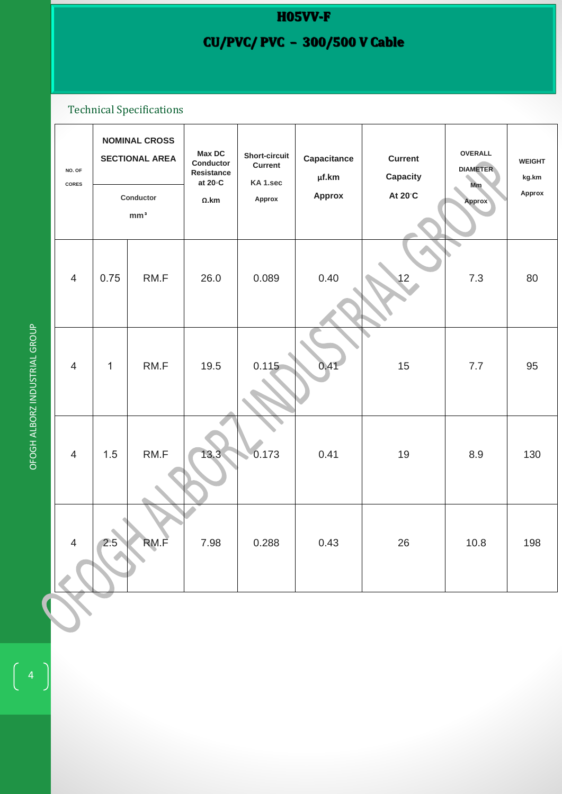# **CU/PVC/ PVC - 300/500 V Cable**

## Technical Specifications

| NO. OF<br>CORES |              | <b>NOMINAL CROSS</b><br><b>SECTIONAL AREA</b><br>Conductor<br>mm <sup>2</sup> | Max DC<br>Conductor<br>Resistance<br>at 20 $\circ$ C<br>$\Omega$ .km | <b>Short-circuit</b><br>Current<br>KA 1.sec<br>Approx | Capacitance<br>µf.km<br><b>Approx</b> | <b>Current</b><br><b>Capacity</b><br>At 20 $\degree$ C | <b>OVERALL</b><br><b>DIAMETER</b><br>Mm<br>Approx | <b>WEIGHT</b><br>kg.km<br>Approx |
|-----------------|--------------|-------------------------------------------------------------------------------|----------------------------------------------------------------------|-------------------------------------------------------|---------------------------------------|--------------------------------------------------------|---------------------------------------------------|----------------------------------|
| $\overline{4}$  | 0.75         | RM.F                                                                          | 26.0                                                                 | 0.089                                                 | 0.40                                  | 12                                                     | 7.3                                               | 80                               |
| $\overline{4}$  | $\mathbf{1}$ | RM.F                                                                          | 19.5                                                                 | 0.115                                                 | 0.41                                  | 15                                                     | 7.7                                               | 95                               |
| $\overline{4}$  | 1.5          | RM.F                                                                          | 13.3 <sub>1</sub>                                                    | 0.173<br>w                                            | 0.41                                  | 19                                                     | 8.9                                               | 130                              |
| $\overline{4}$  | 2.5          | RM.F                                                                          | 7.98                                                                 | 0.288                                                 | 0.43                                  | 26                                                     | 10.8                                              | 198                              |

OFOGH ALBORZ INDUSTRIAL GROUP OFOGH ALBORZ INDUSTRIAL GROUP

 $\left( \begin{array}{c} 4 \end{array} \right)$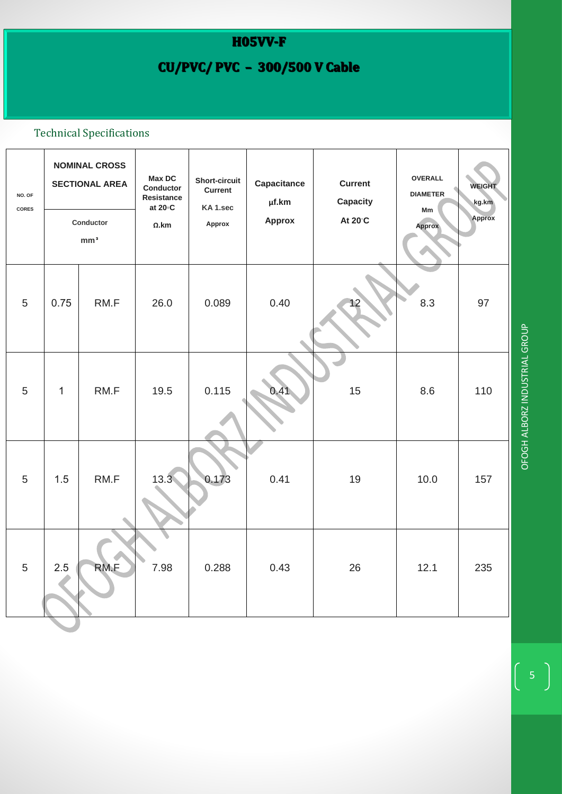# **CU/PVC/ PVC - 300/500 V Cable**

## Technical Specifications

| NO. OF<br>CORES |              | <b>NOMINAL CROSS</b><br><b>SECTIONAL AREA</b><br>Conductor<br>mm <sup>2</sup> | Max DC<br>Conductor<br>Resistance<br>at $20 \textdegree C$<br>$\Omega$ .km | Short-circuit<br><b>Current</b><br>KA 1.sec<br>Approx | Capacitance<br>µf.km<br><b>Approx</b> | <b>Current</b><br>Capacity<br>At 20 $\degree$ C | <b>OVERALL</b><br><b>DIAMETER</b><br>Mm<br>Approx | <b>WEIGHT</b><br>kg.km<br>Approx |
|-----------------|--------------|-------------------------------------------------------------------------------|----------------------------------------------------------------------------|-------------------------------------------------------|---------------------------------------|-------------------------------------------------|---------------------------------------------------|----------------------------------|
| 5               | 0.75         | RM.F                                                                          | 26.0                                                                       | 0.089                                                 | 0.40                                  |                                                 | 8.3                                               | 97                               |
| 5               | $\mathbf{1}$ | RM.F                                                                          | 19.5                                                                       | 0.115                                                 |                                       | 15                                              | 8.6                                               | 110                              |
| $\sqrt{5}$      | 1.5          | RM.F                                                                          | 13.3 <sup>2</sup>                                                          | 0.173                                                 | 0.41                                  | 19                                              | 10.0                                              | 157                              |
| 5               | 2.5          | RM.F                                                                          | 7.98                                                                       | 0.288                                                 | 0.43                                  | 26                                              | 12.1                                              | 235                              |

OFOGH ALBORZ INDUSTRIAL GROUP OFOGH ALBORZ INDUSTRIAL GROUP

 $\begin{bmatrix} 5 \end{bmatrix}$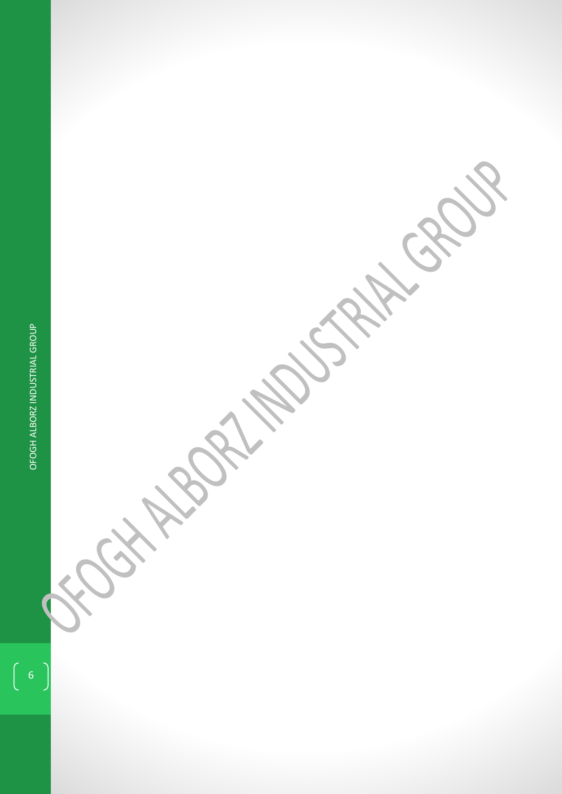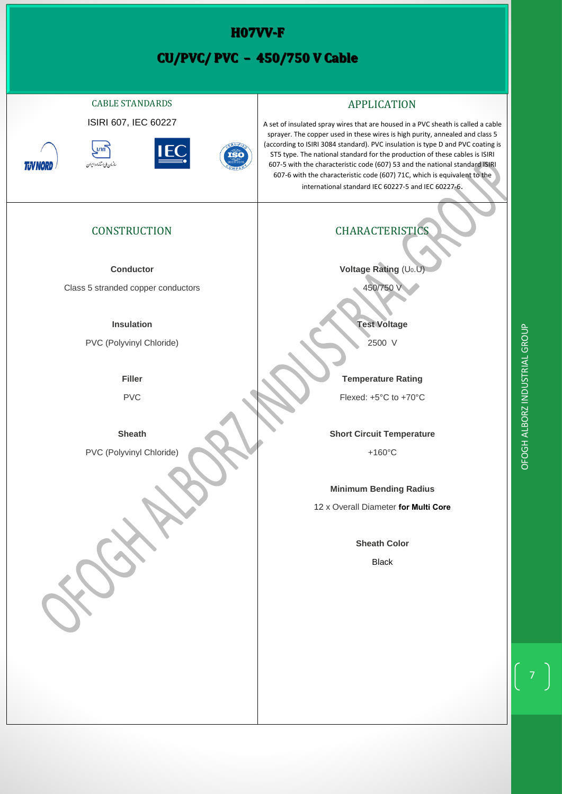#### **CU/PVC/ PVC - 450/750 V Cable**



#### ISIRI 607, IEC 60227



.<br>زمان *بلى استاندارد ایران* 





# APPLICATION

A set of insulated spray wires that are housed in a PVC sheath is called a cable sprayer. The copper used in these wires is high purity, annealed and class 5 (according to ISIRI 3084 standard). PVC insulation is type D and PVC coating is ST5 type. The national standard for the production of these cables is ISIRI 607-5 with the characteristic code (607) 53 and the national standard ISIRI 607-6 with the characteristic code (607) 71C, which is equivalent to the international standard IEC 60227-5 and IEC 60227-6.

#### **CONSTRUCTION**

**Conductor**

Class 5 stranded copper conductors

#### **Insulation**

PVC (Polyvinyl Chloride)

#### **Filler**

PVC

#### **Sheath**

PVC (Polyvinyl Chloride)

#### **CHARACTERISTICS**

**Voltage Rating** (U0.U)

450/750 V

**Test Voltage**

2500 V

#### **Temperature Rating**

Flexed: +5°C to +70°C

#### **Short Circuit Temperature**

+160°C

#### **Minimum Bending Radius**

12 x Overall Diameter **for Multi Core**

**Sheath Color** Black

7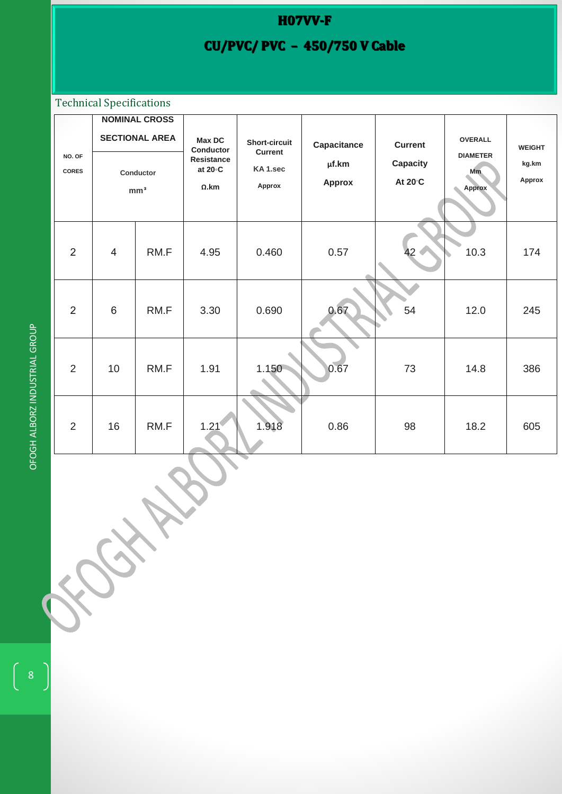# **CU/PVC/ PVC - 450/750 V Cable**

## Technical Specifications

| NO. OF<br><b>CORES</b> |                | <b>NOMINAL CROSS</b><br><b>SECTIONAL AREA</b><br>Conductor<br>mm <sup>2</sup> | Max DC<br>Conductor<br>Resistance<br>at $20 \text{ }^{\circ}$ C<br>$\Omega$ .km | <b>Short-circuit</b><br><b>Current</b><br>KA <sub>1.sec</sub><br>Approx | Capacitance<br>µf.km<br><b>Approx</b> | <b>Current</b><br>Capacity<br>At 20 °C | <b>OVERALL</b><br><b>DIAMETER</b><br>M <sub>m</sub><br>Approx | <b>WEIGHT</b><br>kg.km<br>Approx |
|------------------------|----------------|-------------------------------------------------------------------------------|---------------------------------------------------------------------------------|-------------------------------------------------------------------------|---------------------------------------|----------------------------------------|---------------------------------------------------------------|----------------------------------|
| 2                      | $\overline{4}$ | RM.F                                                                          | 4.95                                                                            | 0.460                                                                   | 0.57                                  |                                        | 10.3                                                          | 174                              |
| $\overline{2}$         | 6              | RM.F                                                                          | 3.30                                                                            | 0.690                                                                   | 0.67                                  | 54                                     | 12.0                                                          | 245                              |
| $\overline{2}$         | 10             | RM.F                                                                          | 1.91                                                                            | 1.150                                                                   | 0.67                                  | 73                                     | 14.8                                                          | 386                              |
| $\overline{2}$         | 16             | RM.F                                                                          | 1.21                                                                            | 1.918                                                                   | 0.86                                  | 98                                     | 18.2                                                          | 605                              |

OFOGH ALBORZ INDUSTRIAL GROUP OFOGH ALBORZ INDUSTRIAL GROUP

 $\begin{array}{|c|c|} \hline \rule{0pt}{14pt} \rule{0pt}{2.5pt} \rule{0pt}{2.5pt} \rule{0pt}{2.5pt} \rule{0pt}{2.5pt} \rule{0pt}{2.5pt} \rule{0pt}{2.5pt} \rule{0pt}{2.5pt} \rule{0pt}{2.5pt} \rule{0pt}{2.5pt} \rule{0pt}{2.5pt} \rule{0pt}{2.5pt} \rule{0pt}{2.5pt} \rule{0pt}{2.5pt} \rule{0pt}{2.5pt} \rule{0pt}{2.5pt} \rule{0pt}{2.5pt} \rule{0pt}{2.5pt} \rule{0pt}{2.5$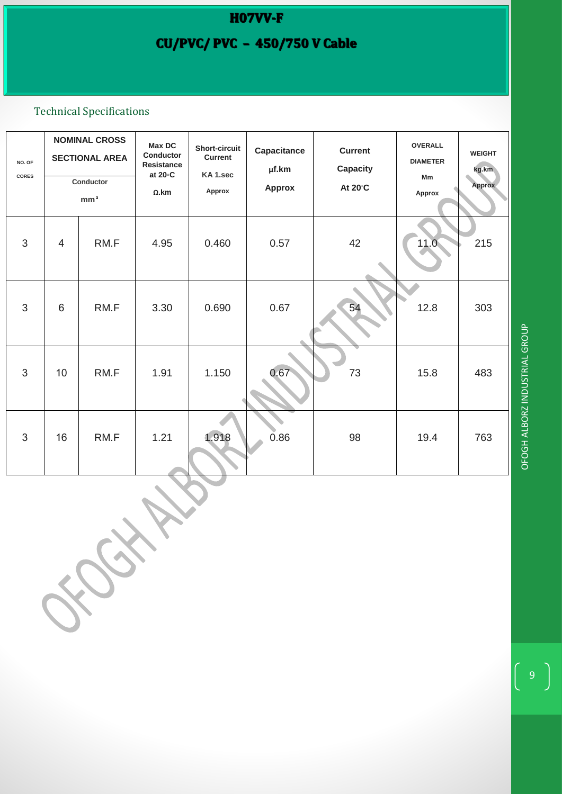# **CU/PVC/ PVC - 450/750 V Cable**

## Technical Specifications

| NO. OF<br>CORES |                | <b>NOMINAL CROSS</b><br><b>SECTIONAL AREA</b><br>Conductor<br>mm <sup>2</sup> | Max DC<br>Conductor<br><b>Resistance</b><br>at 20 $\circ$ C<br>$\Omega$ .km | <b>Short-circuit</b><br><b>Current</b><br>KA 1.sec<br>Approx | Capacitance<br>µf.km<br><b>Approx</b> | <b>Current</b><br><b>Capacity</b><br>At 20 $\degree$ C | <b>OVERALL</b><br><b>DIAMETER</b><br>Mm<br>Approx | <b>WEIGHT</b><br>kg.km<br>Approx |
|-----------------|----------------|-------------------------------------------------------------------------------|-----------------------------------------------------------------------------|--------------------------------------------------------------|---------------------------------------|--------------------------------------------------------|---------------------------------------------------|----------------------------------|
| $\mathfrak{B}$  | $\overline{4}$ | RM.F                                                                          | 4.95                                                                        | 0.460                                                        | 0.57                                  | 42                                                     | 11.0                                              | 215                              |
| $\mathfrak{S}$  | $6\phantom{1}$ | RM.F                                                                          | 3.30                                                                        | 0.690                                                        | 0.67                                  | 54                                                     | 12.8                                              | 303                              |
| $\mathfrak{S}$  | 10             | RM.F                                                                          | 1.91                                                                        | 1.150                                                        | 0.67                                  | 73                                                     | 15.8                                              | 483                              |
| $\mathfrak{S}$  | 16             | RM.F                                                                          | 1.21                                                                        | 1.918                                                        | 0.86                                  | 98                                                     | 19.4                                              | 763                              |

OFOGH ALBORZ INDUSTRIAL GROUP OFOGH ALBORZ INDUSTRIAL GROUP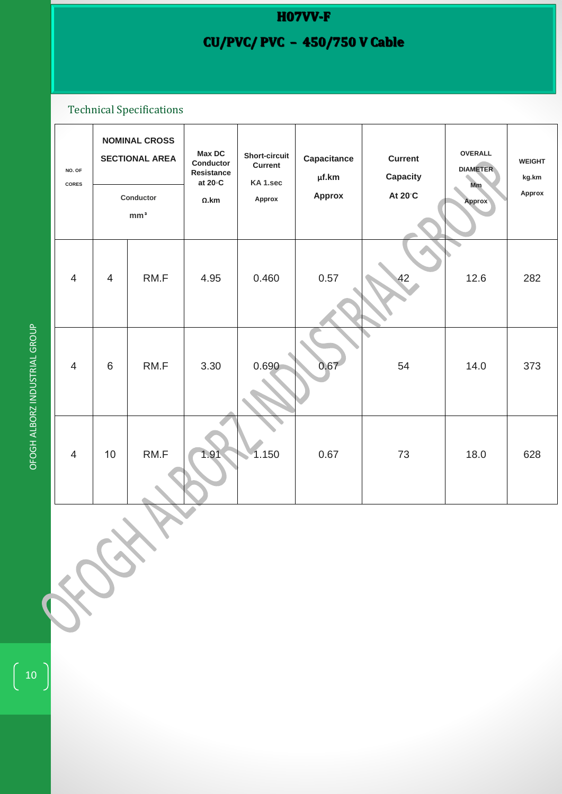# **CU/PVC/ PVC - 450/750 V Cable**

#### Technical Specifications

| NO. OF<br><b>CORES</b> |                | <b>NOMINAL CROSS</b><br><b>SECTIONAL AREA</b><br>Conductor<br>mm <sup>2</sup> | <b>Max DC</b><br><b>Conductor</b><br>Resistance<br>at 20 $\circ$ C<br>$\Omega$ .km | <b>Short-circuit</b><br><b>Current</b><br>KA 1.sec<br>Approx | Capacitance<br>µf.km<br><b>Approx</b> | <b>Current</b><br>Capacity<br>At 20°C | <b>OVERALL</b><br><b>DIAMETER</b><br>Mm<br>Approx | <b>WEIGHT</b><br>kg.km<br>Approx |
|------------------------|----------------|-------------------------------------------------------------------------------|------------------------------------------------------------------------------------|--------------------------------------------------------------|---------------------------------------|---------------------------------------|---------------------------------------------------|----------------------------------|
| $\overline{4}$         | $\overline{4}$ | RM.F                                                                          | 4.95                                                                               | 0.460                                                        | 0.57                                  | 42                                    | 12.6                                              | 282                              |
| $\overline{4}$         | $6\phantom{1}$ | RM.F                                                                          | 3.30                                                                               | 0.690                                                        | 0.67                                  | 54                                    | 14.0                                              | 373                              |
| $\overline{4}$         | 10             | RM.F                                                                          | 1.91                                                                               | 1.150                                                        | 0.67                                  | 73                                    | 18.0                                              | 628                              |

OFOGH ALBORZ INDUSTRIAL GROUP OFOGH ALBORZ INDUSTRIAL GROUP